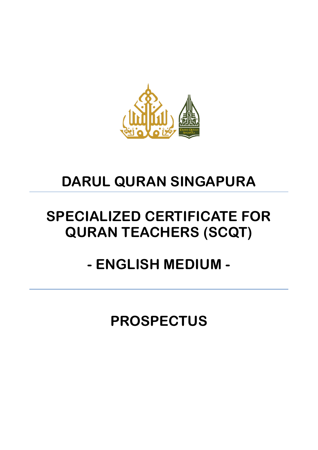

# **DARUL QURAN SINGAPURA**

# **SPECIALIZED CERTIFICATE FOR QURAN TEACHERS (SCQT)**

# **- ENGLISH MEDIUM -**

**PROSPECTUS**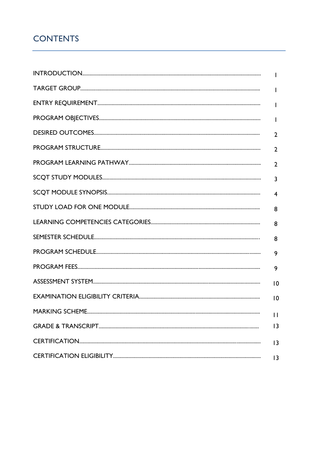# **CONTENTS**

| I.             |
|----------------|
| $\mathbf{I}$   |
| $\mathbf{I}$   |
| $\overline{2}$ |
| $\overline{2}$ |
| $\overline{2}$ |
| $\overline{3}$ |
| $\overline{4}$ |
| 8              |
| 8              |
| 8              |
| 9              |
| 9              |
| 10             |
| 10             |
| $\mathbf{1}$   |
| 3              |
| 3              |
| 3              |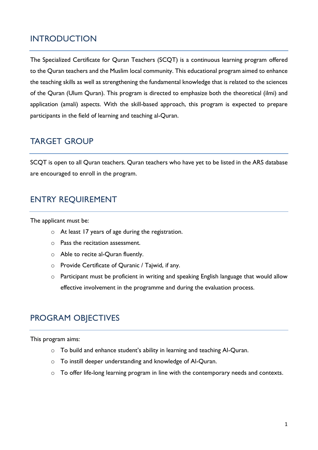### INTRODUCTION

The Specialized Certificate for Quran Teachers (SCQT) is a continuous learning program offered to the Quran teachers and the Muslim local community. This educational program aimed to enhance the teaching skills as well as strengthening the fundamental knowledge that is related to the sciences of the Quran (Ulum Quran). This program is directed to emphasize both the theoretical (ilmi) and application (amali) aspects. With the skill-based approach, this program is expected to prepare participants in the field of learning and teaching al-Quran.

### TARGET GROUP

SCQT is open to all Quran teachers. Quran teachers who have yet to be listed in the ARS database are encouraged to enroll in the program.

## ENTRY REQUIREMENT

The applicant must be:

- o At least 17 years of age during the registration.
- o Pass the recitation assessment.
- o Able to recite al-Quran fluently.
- o Provide Certificate of Quranic / Tajwid, if any.
- o Participant must be proficient in writing and speaking English language that would allow effective involvement in the programme and during the evaluation process.

# PROGRAM OBJECTIVES

This program aims:

- o To build and enhance student's ability in learning and teaching Al-Quran.
- o To instill deeper understanding and knowledge of Al-Quran.
- o To offer life-long learning program in line with the contemporary needs and contexts.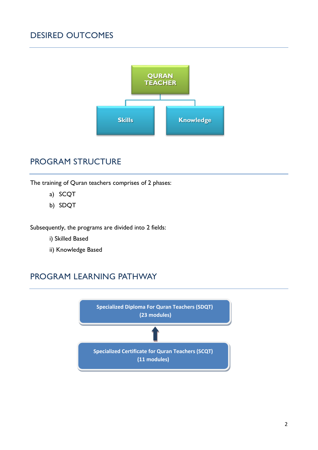# DESIRED OUTCOMES



## PROGRAM STRUCTURE

The training of Quran teachers comprises of 2 phases:

- a) SCQT
- b) SDQT

Subsequently, the programs are divided into 2 fields:

- i) Skilled Based
- ii) Knowledge Based

# PROGRAM LEARNING PATHWAY

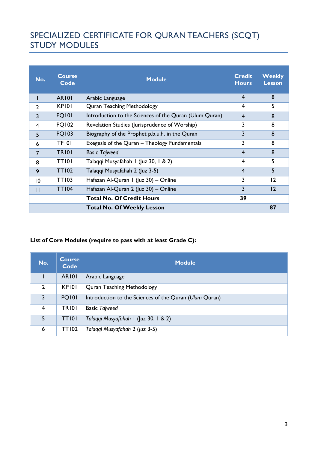# SPECIALIZED CERTIFICATE FOR QURAN TEACHERS (SCQT) STUDY MODULES

| No.            | <b>Course</b><br>Code | <b>Module</b>                                          | <b>Credit</b><br><b>Hours</b> | <b>Weekly</b><br><b>Lesson</b> |
|----------------|-----------------------|--------------------------------------------------------|-------------------------------|--------------------------------|
|                | <b>AR101</b>          | Arabic Language                                        | $\overline{4}$                | 8                              |
| $\overline{2}$ | KP <sub>101</sub>     | <b>Quran Teaching Methodology</b>                      | 4                             | 5                              |
| 3              | <b>PQ101</b>          | Introduction to the Sciences of the Quran (Ulum Quran) | $\overline{4}$                | 8                              |
| 4              | <b>PQ102</b>          | Revelation Studies (Jurisprudence of Worship)          | 3                             | 8                              |
| 5              | <b>PQ103</b>          | Biography of the Prophet p.b.u.h. in the Quran         | 3                             | 8                              |
| 6              | <b>TFI01</b>          | Exegesis of the Quran - Theology Fundamentals          |                               | 8                              |
| 7              | <b>TR101</b>          | <b>Basic Tajweed</b>                                   | $\overline{4}$                | 8                              |
| 8              | TTI01                 | Talaqqi Musyafahah I (Juz 30, 1 & 2)                   | $\overline{4}$                | 5                              |
| 9              | <b>TT102</b>          | Talaqqi Musyafahah 2 (Juz 3-5)                         | $\overline{4}$                | 5                              |
| 10             | <b>TT103</b>          | Hafazan Al-Quran I (Juz 30) - Online                   | 3                             | 12                             |
| $\mathbf{H}$   | <b>TT104</b>          | Hafazan Al-Quran 2 (Juz 30) - Online                   | 3                             | 12                             |
|                |                       | <b>Total No. Of Credit Hours</b>                       | 39                            |                                |
|                |                       | <b>Total No. Of Weekly Lesson</b>                      |                               | 87                             |

### **List of Core Modules (require to pass with at least Grade C):**

| No.          | <b>Course</b><br><b>Code</b> | <b>Module</b>                                          |
|--------------|------------------------------|--------------------------------------------------------|
|              | <b>AR101</b>                 | Arabic Language                                        |
| $\mathbf{2}$ | KP <sub>101</sub>            | <b>Quran Teaching Methodology</b>                      |
| $\mathbf{3}$ | <b>PQ101</b>                 | Introduction to the Sciences of the Quran (Ulum Quran) |
| 4            | <b>TR101</b>                 | <b>Basic Tajweed</b>                                   |
| 5            | <b>TT101</b>                 | Talaqqi Musyafahah I (Juz 30, 1 & 2)                   |
| 6            | <b>TT102</b>                 | Talaggi Musyafahah 2 (Juz 3-5)                         |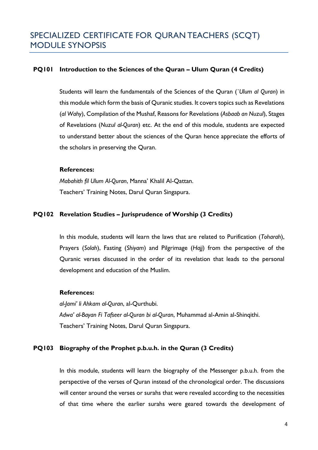### **PQ101 Introduction to the Sciences of the Quran – Ulum Quran (4 Credits)**

Students will learn the fundamentals of the Sciences of the Quran (*`Ulum al Quran*) in this module which form the basis of Quranic studies. It covers topics such as Revelations (*al Wahy*), Compilation of the Mushaf, Reasons for Revelations (*Asbaab an Nuzul*), Stages of Revelations (*Nuzul al-Quran*) etc. At the end of this module, students are expected to understand better about the sciences of the Quran hence appreciate the efforts of the scholars in preserving the Quran.

#### **References:**

*Mabahith fil Ulum Al-Quran*, Manna' Khalil Al-Qattan. Teachers' Training Notes, Darul Quran Singapura.

### **PQ102 Revelation Studies – Jurisprudence of Worship (3 Credits)**

In this module, students will learn the laws that are related to Purification (*Toharah*), Prayers (*Solah*), Fasting (*Shiyam*) and Pilgrimage (*Hajj*) from the perspective of the Quranic verses discussed in the order of its revelation that leads to the personal development and education of the Muslim.

#### **References:**

*al-Jami' li Ahkam al-Quran*, al-Qurthubi. *Adwa' al-Bayan Fi Tafseer al-Quran bi al-Quran*, Muhammad al-Amin al-Shinqithi. Teachers' Training Notes, Darul Quran Singapura.

### **PQ103 Biography of the Prophet p.b.u.h. in the Quran (3 Credits)**

In this module, students will learn the biography of the Messenger p.b.u.h. from the perspective of the verses of Quran instead of the chronological order. The discussions will center around the verses or surahs that were revealed according to the necessities of that time where the earlier surahs were geared towards the development of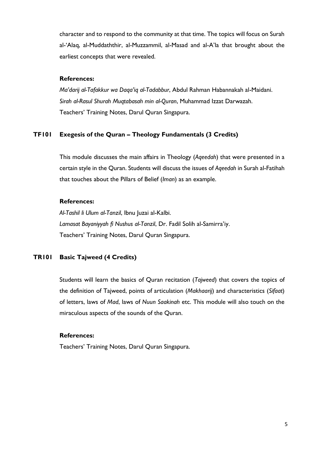character and to respond to the community at that time. The topics will focus on Surah al-'Alaq, al-Muddaththir, al-Muzzammil, al-Masad and al-A'la that brought about the earliest concepts that were revealed.

#### **References:**

*Ma'darij al-Tafakkur wa Daqa'iq al-Tadabbur*, Abdul Rahman Habannakah al-Maidani. *Sirah al-Rasul Shurah Muqtabasah min al-Quran*, Muhammad Izzat Darwazah. Teachers' Training Notes, Darul Quran Singapura.

#### **TF101 Exegesis of the Quran – Theology Fundamentals (3 Credits)**

This module discusses the main affairs in Theology (*Aqeedah*) that were presented in a certain style in the Quran. Students will discuss the issues of *Aqeedah* in Surah al-Fatihah that touches about the Pillars of Belief (*Iman*) as an example.

#### **References:**

*Al-Tashil li Ulum al-Tanzil*, Ibnu Juzai al-Kalbi. *Lamasat Bayaniyyah fi Nushus al-Tanzil*, Dr. Fadil Solih al-Samirra'iy. Teachers' Training Notes, Darul Quran Singapura.

### **TR101 Basic Tajweed (4 Credits)**

Students will learn the basics of Quran recitation (*Tajweed*) that covers the topics of the definition of Tajweed, points of articulation (*Makhaarij*) and characteristics (*Sifaat*) of letters, laws of *Mad*, laws of *Nuun Saakinah* etc. This module will also touch on the miraculous aspects of the sounds of the Quran.

#### **References:**

Teachers' Training Notes, Darul Quran Singapura.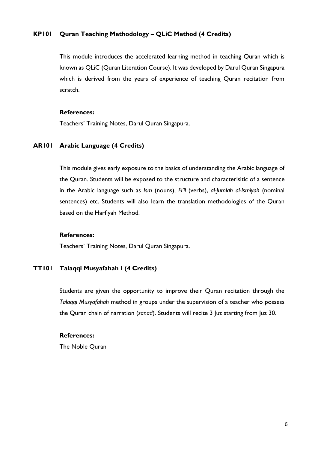### **KP101 Quran Teaching Methodology – QLiC Method (4 Credits)**

This module introduces the accelerated learning method in teaching Quran which is known as QLiC (Quran Literation Course). It was developed by Darul Quran Singapura which is derived from the years of experience of teaching Quran recitation from scratch.

#### **References:**

Teachers' Training Notes, Darul Quran Singapura.

#### **AR101 Arabic Language (4 Credits)**

This module gives early exposure to the basics of understanding the Arabic language of the Quran. Students will be exposed to the structure and characterisitic of a sentence in the Arabic language such as *Ism* (nouns), *Fi'il* (verbs), *al-Jumlah al-Ismiyah* (nominal sentences) etc. Students will also learn the translation methodologies of the Quran based on the Harfiyah Method.

#### **References:**

Teachers' Training Notes, Darul Quran Singapura.

### **TT101 Talaqqi Musyafahah I (4 Credits)**

Students are given the opportunity to improve their Quran recitation through the *Talaqqi Musyafahah* method in groups under the supervision of a teacher who possess the Quran chain of narration (*sanad*). Students will recite 3 Juz starting from Juz 30.

#### **References:**

The Noble Quran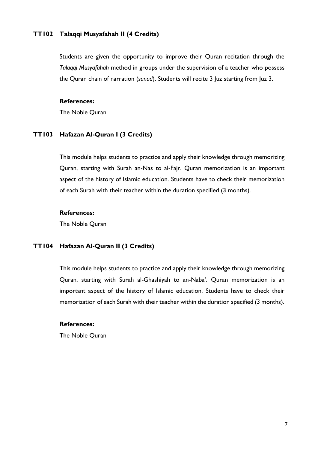#### **TT102 Talaqqi Musyafahah II (4 Credits)**

Students are given the opportunity to improve their Quran recitation through the *Talaqqi Musyafahah* method in groups under the supervision of a teacher who possess the Quran chain of narration (*sanad*). Students will recite 3 Juz starting from Juz 3.

#### **References:**

The Noble Quran

#### **TT103 Hafazan Al-Quran I (3 Credits)**

This module helps students to practice and apply their knowledge through memorizing Quran, starting with Surah an-Nas to al-Fajr. Quran memorization is an important aspect of the history of Islamic education. Students have to check their memorization of each Surah with their teacher within the duration specified (3 months).

#### **References:**

The Noble Quran

#### **TT104 Hafazan Al-Quran II (3 Credits)**

This module helps students to practice and apply their knowledge through memorizing Quran, starting with Surah al-Ghashiyah to an-Naba'. Quran memorization is an important aspect of the history of Islamic education. Students have to check their memorization of each Surah with their teacher within the duration specified (3 months).

#### **References:**

The Noble Quran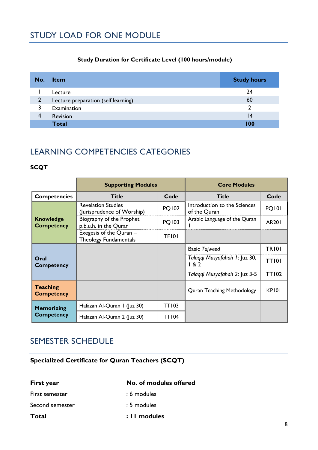### **Study Duration for Certificate Level (100 hours/module)**

| No.            | <b>Item</b>                         | <b>Study hours</b> |
|----------------|-------------------------------------|--------------------|
|                | Lecture                             | 24                 |
| $\overline{2}$ | Lecture preparation (self learning) | 60                 |
| 3              | Examination                         | າ                  |
| 4              | Revision                            | 14                 |
|                | <b>Total</b>                        | l 00               |

# LEARNING COMPETENCIES CATEGORIES

### **SCQT**

|                                       | <b>Supporting Modules</b>                               |              | <b>Core Modules</b>                          |              |
|---------------------------------------|---------------------------------------------------------|--------------|----------------------------------------------|--------------|
| <b>Competencies</b>                   | <b>Title</b>                                            | Code         | <b>Title</b>                                 | Code         |
|                                       | <b>Revelation Studies</b><br>(Jurisprudence of Worship) | <b>PQ102</b> | Introduction to the Sciences<br>of the Quran | <b>PQ101</b> |
| <b>Knowledge</b><br><b>Competency</b> | Biography of the Prophet<br>p.b.u.h. in the Quran       | <b>PQ103</b> | Arabic Language of the Quran                 | <b>AR201</b> |
|                                       | Exegesis of the Quran -<br><b>Theology Fundamentals</b> | <b>TF101</b> |                                              |              |
|                                       |                                                         |              | <b>Basic Tajweed</b>                         | <b>TR101</b> |
| Oral<br><b>Competency</b>             |                                                         |              | Talaqqi Musyafahah 1: Juz 30,<br>182         | <b>TT101</b> |
|                                       |                                                         |              | Talaqqi Musyafahah 2: Juz 3-5                | <b>TT102</b> |
| <b>Teaching</b><br><b>Competency</b>  |                                                         |              | <b>Quran Teaching Methodology</b>            | <b>KP101</b> |
| <b>Memorizing</b>                     | Hafazan Al-Quran I (Juz 30)                             | <b>TT103</b> |                                              |              |
| <b>Competency</b>                     | Hafazan Al-Quran 2 (Juz 30)                             | <b>TT104</b> |                                              |              |

## SEMESTER SCHEDULE

**Specialized Certificate for Quran Teachers (SCQT)** 

**First year No. of modules offered** First semester : 6 modules Second semester : 5 modules **Total : 11 modules**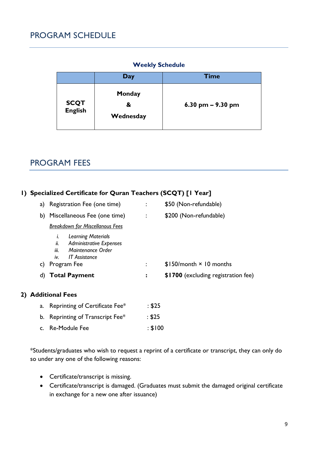### **Weekly Schedule**

|                        | Day                      | <b>Time</b>         |
|------------------------|--------------------------|---------------------|
| <b>SCQT</b><br>English | Monday<br>&<br>Wednesday | 6.30 pm $-$ 9.30 pm |

### PROGRAM FEES

### **1) Specialized Certificate for Quran Teachers (SCQT) [1 Year]**

| a) | Registration Fee (one time)                                                                                                                   |                | \$50 (Non-refundable)               |
|----|-----------------------------------------------------------------------------------------------------------------------------------------------|----------------|-------------------------------------|
|    | b) Miscellaneous Fee (one time)                                                                                                               | $\ddot{\cdot}$ | \$200 (Non-refundable)              |
|    | <b>Breakdown for Miscellanous Fees</b>                                                                                                        |                |                                     |
| C) | <b>Learning Materials</b><br><b>Administrative Expenses</b><br>ii.<br>iii.<br>Maintenance Order<br>iv.<br><b>IT Assistance</b><br>Program Fee |                | $$150/m$ onth $\times$ 10 months    |
|    | d) Total Payment                                                                                                                              | $\ddot{\cdot}$ | \$1700 (excluding registration fee) |
|    | <b>Additional Fees</b>                                                                                                                        |                |                                     |

| a. Reprinting of Certificate Fee* | : \$25  |
|-----------------------------------|---------|
| b. Reprinting of Transcript Fee*  | : \$25  |
| c. Re-Module Fee                  | : \$100 |

\*Students/graduates who wish to request a reprint of a certificate or transcript, they can only do so under any one of the following reasons:

- Certificate/transcript is missing.
- Certificate/transcript is damaged. (Graduates must submit the damaged original certificate in exchange for a new one after issuance)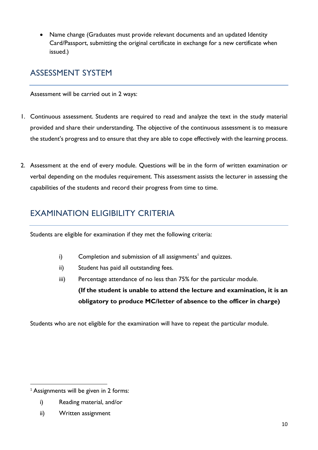• Name change (Graduates must provide relevant documents and an updated Identity Card/Passport, submitting the original certificate in exchange for a new certificate when issued.)

# ASSESSMENT SYSTEM

Assessment will be carried out in 2 ways:

- 1. Continuous assessment. Students are required to read and analyze the text in the study material provided and share their understanding. The objective of the continuous assessment is to measure the student's progress and to ensure that they are able to cope effectively with the learning process.
- 2. Assessment at the end of every module. Questions will be in the form of written examination or verbal depending on the modules requirement. This assessment assists the lecturer in assessing the capabilities of the students and record their progress from time to time.

# EXAMINATION ELIGIBILITY CRITERIA

Students are eligible for examination if they met the following criteria:

- i) Completion and submission of all assignments<sup>1</sup> and quizzes.
- ii) Student has paid all outstanding fees.
- iii) Percentage attendance of no less than 75% for the particular module. **(If the student is unable to attend the lecture and examination, it is an obligatory to produce MC/letter of absence to the officer in charge)**

Students who are not eligible for the examination will have to repeat the particular module.

- i) Reading material, and/or
- ii) Written assignment

 $1$  Assignments will be given in 2 forms: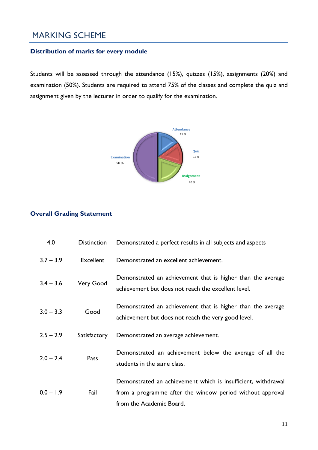# MARKING SCHEME

### **Distribution of marks for every module**

Students will be assessed through the attendance (15%), quizzes (15%), assignments (20%) and examination (50%). Students are required to attend 75% of the classes and complete the quiz and assignment given by the lecturer in order to qualify for the examination.



### **Overall Grading Statement**

| 4.0         | <b>Distinction</b> | Demonstrated a perfect results in all subjects and aspects                                                                                             |
|-------------|--------------------|--------------------------------------------------------------------------------------------------------------------------------------------------------|
| $3.7 - 3.9$ | Excellent          | Demonstrated an excellent achievement.                                                                                                                 |
| $3.4 - 3.6$ | Very Good          | Demonstrated an achievement that is higher than the average<br>achievement but does not reach the excellent level.                                     |
| $3.0 - 3.3$ | Good               | Demonstrated an achievement that is higher than the average<br>achievement but does not reach the very good level.                                     |
| $2.5 - 2.9$ | Satisfactory       | Demonstrated an average achievement.                                                                                                                   |
| $2.0 - 2.4$ | Pass               | Demonstrated an achievement below the average of all the<br>students in the same class.                                                                |
| $0.0 - 1.9$ | Fail               | Demonstrated an achievement which is insufficient, withdrawal<br>from a programme after the window period without approval<br>from the Academic Board. |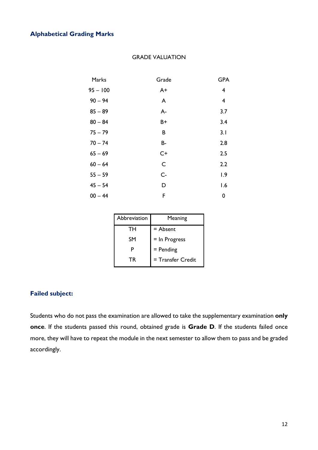### **Alphabetical Grading Marks**

| Marks      | Grade | <b>GPA</b> |
|------------|-------|------------|
| $95 - 100$ | $A+$  | 4          |
| $90 - 94$  | A     | 4          |
| $85 - 89$  | $A -$ | 3.7        |
| $80 - 84$  | B+    | 3.4        |
| $75 - 79$  | B     | 3.1        |
| $70 - 74$  | B-    | 2.8        |
| $65 - 69$  | $C+$  | 2.5        |
| $60 - 64$  | C     | 2.2        |
| $55 - 59$  | $C -$ | 1.9        |
| $45 - 54$  | D     | 1.6        |
| $00 - 44$  | F     | 0          |

#### GRADE VALUATION

| Abbreviation | Meaning           |
|--------------|-------------------|
| TН           | $=$ Absent        |
| SΜ           | $=$ In Progress   |
| P            | $=$ Pending       |
| ТR           | = Transfer Credit |

### **Failed subject:**

Students who do not pass the examination are allowed to take the supplementary examination **only once**. If the students passed this round, obtained grade is **Grade D**. If the students failed once more, they will have to repeat the module in the next semester to allow them to pass and be graded accordingly.